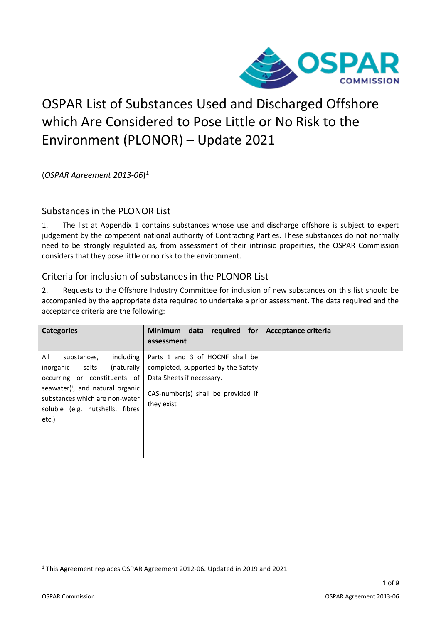

## OSPAR List of Substances Used and Discharged Offshore which Are Considered to Pose Little or No Risk to the Environment (PLONOR) – Update 2021

(*OSPAR Agreement 2013-06*)[1](#page-0-0)

## Substances in the PLONOR List

1. The list at Appendix 1 contains substances whose use and discharge offshore is subject to expert judgement by the competent national authority of Contracting Parties. These substances do not normally need to be strongly regulated as, from assessment of their intrinsic properties, the OSPAR Commission considers that they pose little or no risk to the environment.

## Criteria for inclusion of substances in the PLONOR List

2. Requests to the Offshore Industry Committee for inclusion of new substances on this list should be accompanied by the appropriate data required to undertake a prior assessment. The data required and the acceptance criteria are the following:

| <b>Categories</b>                                                                                                                                                                                                                        | Minimum data required for<br>assessment                                                                                                                | Acceptance criteria |
|------------------------------------------------------------------------------------------------------------------------------------------------------------------------------------------------------------------------------------------|--------------------------------------------------------------------------------------------------------------------------------------------------------|---------------------|
| All<br>including<br>substances,<br>(naturally<br>salts<br>inorganic<br>occurring or constituents of<br>seawater) <sup><i>i</i></sup> , and natural organic<br>substances which are non-water<br>soluble (e.g. nutshells, fibres<br>etc.) | Parts 1 and 3 of HOCNF shall be<br>completed, supported by the Safety<br>Data Sheets if necessary.<br>CAS-number(s) shall be provided if<br>they exist |                     |

1 of 9

<span id="page-0-0"></span><sup>1</sup> This Agreement replaces OSPAR Agreement 2012-06. Updated in 2019 and 2021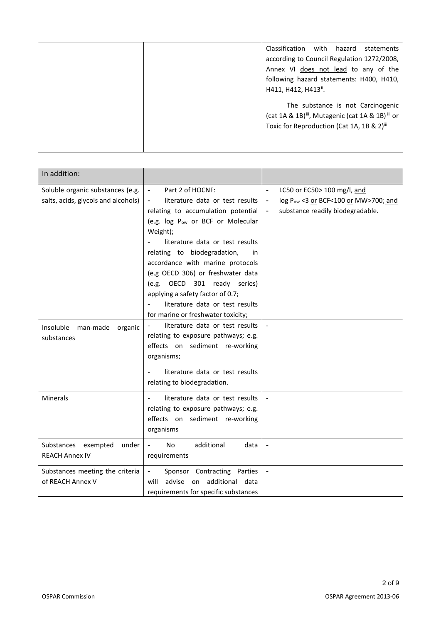| Classification<br>with<br>hazard<br>statements<br>according to Council Regulation 1272/2008,<br>Annex VI does not lead to any of the<br>following hazard statements: H400, H410,<br>H411, H412, H413". |
|--------------------------------------------------------------------------------------------------------------------------------------------------------------------------------------------------------|
| The substance is not Carcinogenic<br>(cat 1A & 1B) <sup>iii</sup> , Mutagenic (cat 1A & 1B) <sup>iii</sup> or<br>Toxic for Reproduction (Cat 1A, 1B & 2) <sup>iii</sup>                                |

| In addition:                                                            |                                                                                                                                                                                                                                                                                                                                                                                               |                                                                                                                                             |
|-------------------------------------------------------------------------|-----------------------------------------------------------------------------------------------------------------------------------------------------------------------------------------------------------------------------------------------------------------------------------------------------------------------------------------------------------------------------------------------|---------------------------------------------------------------------------------------------------------------------------------------------|
| Soluble organic substances (e.g.<br>salts, acids, glycols and alcohols) | Part 2 of HOCNF:<br>$\blacksquare$<br>literature data or test results<br>relating to accumulation potential<br>(e.g. log P <sub>ow</sub> or BCF or Molecular<br>Weight);<br>literature data or test results<br>relating to biodegradation,<br>in<br>accordance with marine protocols<br>(e.g OECD 306) or freshwater data<br>(e.g. OECD 301 ready series)<br>applying a safety factor of 0.7; | LC50 or EC50> 100 mg/l, and<br>log Pow <3 or BCF<100 or MW>700; and<br>$\blacksquare$<br>substance readily biodegradable.<br>$\blacksquare$ |
| Insoluble<br>man-made<br>organic<br>substances                          | literature data or test results<br>for marine or freshwater toxicity;<br>literature data or test results<br>relating to exposure pathways; e.g.<br>effects on sediment re-working<br>organisms;<br>literature data or test results<br>$\overline{\phantom{a}}$<br>relating to biodegradation.                                                                                                 |                                                                                                                                             |
| Minerals                                                                | literature data or test results<br>relating to exposure pathways; e.g.<br>effects on sediment re-working<br>organisms                                                                                                                                                                                                                                                                         |                                                                                                                                             |
| Substances exempted<br>under<br><b>REACH Annex IV</b>                   | additional<br>N <sub>o</sub><br>data<br>requirements                                                                                                                                                                                                                                                                                                                                          |                                                                                                                                             |
| Substances meeting the criteria<br>of REACH Annex V                     | Sponsor Contracting Parties<br>$\blacksquare$<br>will advise on additional data<br>requirements for specific substances                                                                                                                                                                                                                                                                       | $\blacksquare$                                                                                                                              |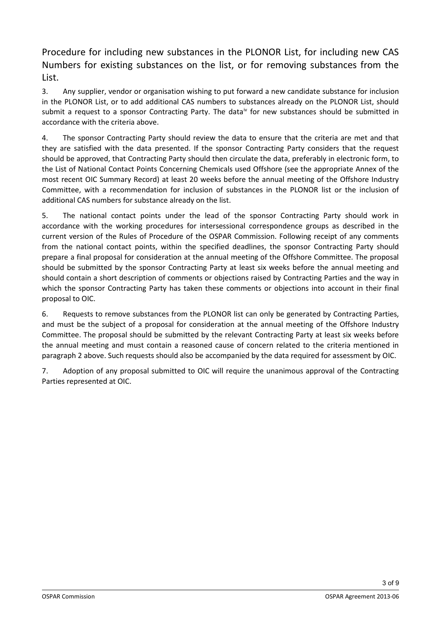Procedure for including new substances in the PLONOR List, for including new CAS Numbers for existing substances on the list, or for removing substances from the List.

3. Any supplier, vendor or organisation wishing to put forward a new candidate substance for inclusion in the PLONOR List, or to add additional CAS numbers to substances already on the PLONOR List, should submit a request to a sponsor Contracting Party. The data<sup>[iv](#page-7-0)</sup> for new substances should be submitted in accordance with the criteria above.

4. The sponsor Contracting Party should review the data to ensure that the criteria are met and that they are satisfied with the data presented. If the sponsor Contracting Party considers that the request should be approved, that Contracting Party should then circulate the data, preferably in electronic form, to the List of National Contact Points Concerning Chemicals used Offshore (see the appropriate Annex of the most recent OIC Summary Record) at least 20 weeks before the annual meeting of the Offshore Industry Committee, with a recommendation for inclusion of substances in the PLONOR list or the inclusion of additional CAS numbers for substance already on the list.

5. The national contact points under the lead of the sponsor Contracting Party should work in accordance with the working procedures for intersessional correspondence groups as described in the current version of the Rules of Procedure of the OSPAR Commission. Following receipt of any comments from the national contact points, within the specified deadlines, the sponsor Contracting Party should prepare a final proposal for consideration at the annual meeting of the Offshore Committee. The proposal should be submitted by the sponsor Contracting Party at least six weeks before the annual meeting and should contain a short description of comments or objections raised by Contracting Parties and the way in which the sponsor Contracting Party has taken these comments or objections into account in their final proposal to OIC.

6. Requests to remove substances from the PLONOR list can only be generated by Contracting Parties, and must be the subject of a proposal for consideration at the annual meeting of the Offshore Industry Committee. The proposal should be submitted by the relevant Contracting Party at least six weeks before the annual meeting and must contain a reasoned cause of concern related to the criteria mentioned in paragraph 2 above. Such requests should also be accompanied by the data required for assessment by OIC.

7. Adoption of any proposal submitted to OIC will require the unanimous approval of the Contracting Parties represented at OIC.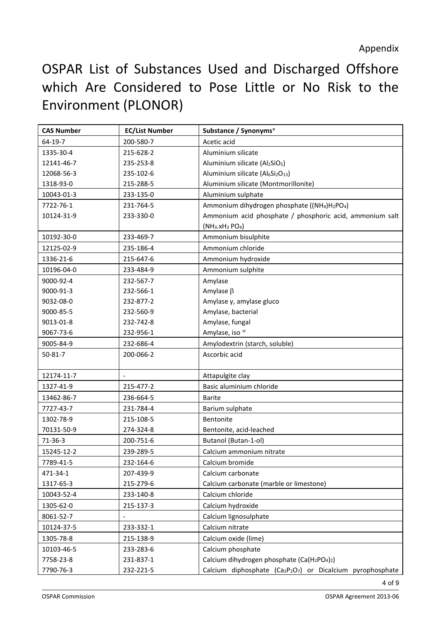## OSPAR List of Substances Used and Discharged Offshore which Are Considered to Pose Little or No Risk to the Environment (PLONOR)

| <b>CAS Number</b> | <b>EC/List Number</b> | Substance / Synonyms <sup>v</sup>                                                 |
|-------------------|-----------------------|-----------------------------------------------------------------------------------|
| 64-19-7           | 200-580-7             | Acetic acid                                                                       |
| 1335-30-4         | 215-628-2             | Aluminium silicate                                                                |
| 12141-46-7        | 235-253-8             | Aluminium silicate (Al2SiO <sub>5</sub> )                                         |
| 12068-56-3        | 235-102-6             | Aluminium silicate (Al6Si2O13)                                                    |
| 1318-93-0         | 215-288-5             | Aluminium silicate (Montmorillonite)                                              |
| 10043-01-3        | 233-135-0             | Aluminium sulphate                                                                |
| 7722-76-1         | 231-764-5             | Ammonium dihydrogen phosphate ((NH <sub>4</sub> )H <sub>2</sub> PO <sub>4</sub> ) |
| 10124-31-9        | 233-330-0             | Ammonium acid phosphate / phosphoric acid, ammonium salt                          |
|                   |                       | $(NH3.xH3 PO4)$                                                                   |
| 10192-30-0        | 233-469-7             | Ammonium bisulphite                                                               |
| 12125-02-9        | 235-186-4             | Ammonium chloride                                                                 |
| 1336-21-6         | 215-647-6             | Ammonium hydroxide                                                                |
| 10196-04-0        | 233-484-9             | Ammonium sulphite                                                                 |
| 9000-92-4         | 232-567-7             | Amylase                                                                           |
| 9000-91-3         | 232-566-1             | Amylase $\beta$                                                                   |
| 9032-08-0         | 232-877-2             | Amylase γ, amylase gluco                                                          |
| 9000-85-5         | 232-560-9             | Amylase, bacterial                                                                |
| 9013-01-8         | 232-742-8             | Amylase, fungal                                                                   |
| 9067-73-6         | 232-956-1             | Amylase, iso vi                                                                   |
| 9005-84-9         | 232-686-4             | Amylodextrin (starch, soluble)                                                    |
| $50 - 81 - 7$     | 200-066-2             | Ascorbic acid                                                                     |
| 12174-11-7        |                       | Attapulgite clay                                                                  |
| 1327-41-9         | 215-477-2             | Basic aluminium chloride                                                          |
| 13462-86-7        | 236-664-5             | <b>Barite</b>                                                                     |
| 7727-43-7         | 231-784-4             | Barium sulphate                                                                   |
| 1302-78-9         | 215-108-5             | Bentonite                                                                         |
| 70131-50-9        | 274-324-8             | Bentonite, acid-leached                                                           |
| $71-36-3$         | 200-751-6             | Butanol (Butan-1-ol)                                                              |
| 15245-12-2        | 239-289-5             | Calcium ammonium nitrate                                                          |
| 7789-41-5         | 232-164-6             | Calcium bromide                                                                   |
| 471-34-1          | 207-439-9             | Calcium carbonate                                                                 |
| 1317-65-3         | 215-279-6             | Calcium carbonate (marble or limestone)                                           |
| 10043-52-4        | 233-140-8             | Calcium chloride                                                                  |
| 1305-62-0         | 215-137-3             | Calcium hydroxide                                                                 |
| 8061-52-7         |                       | Calcium lignosulphate                                                             |
| 10124-37-5        | 233-332-1             | Calcium nitrate                                                                   |
| 1305-78-8         | 215-138-9             | Calcium oxide (lime)                                                              |
| 10103-46-5        | 233-283-6             | Calcium phosphate                                                                 |
| 7758-23-8         | 231-837-1             | Calcium dihydrogen phosphate (Ca(H <sub>2</sub> PO <sub>4</sub> ) <sub>2</sub> )  |
| 7790-76-3         | 232-221-5             | Calcium diphosphate (Ca2P2O7) or Dicalcium pyrophosphate                          |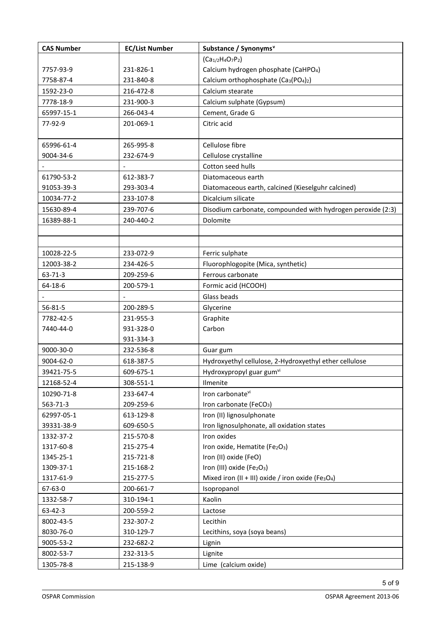| <b>CAS Number</b> | <b>EC/List Number</b> | Substance / Synonyms <sup>v</sup>                                          |
|-------------------|-----------------------|----------------------------------------------------------------------------|
|                   |                       | $(Ca_{1/2}H_4O_7P_2)$                                                      |
| 7757-93-9         | 231-826-1             | Calcium hydrogen phosphate (CaHPO <sub>4</sub> )                           |
| 7758-87-4         | 231-840-8             | Calcium orthophosphate (Ca <sub>3</sub> (PO <sub>4</sub> ) <sub>2</sub> )  |
| 1592-23-0         | 216-472-8             | Calcium stearate                                                           |
| 7778-18-9         | 231-900-3             | Calcium sulphate (Gypsum)                                                  |
| 65997-15-1        | 266-043-4             | Cement, Grade G                                                            |
| 77-92-9           | 201-069-1             | Citric acid                                                                |
|                   |                       |                                                                            |
| 65996-61-4        | 265-995-8             | Cellulose fibre                                                            |
| 9004-34-6         | 232-674-9             | Cellulose crystalline                                                      |
|                   |                       | Cotton seed hulls                                                          |
| 61790-53-2        | 612-383-7             | Diatomaceous earth                                                         |
| 91053-39-3        | 293-303-4             | Diatomaceous earth, calcined (Kieselguhr calcined)                         |
| 10034-77-2        | 233-107-8             | Dicalcium silicate                                                         |
| 15630-89-4        | 239-707-6             | Disodium carbonate, compounded with hydrogen peroxide (2:3)                |
| 16389-88-1        | 240-440-2             | Dolomite                                                                   |
|                   |                       |                                                                            |
|                   |                       |                                                                            |
| 10028-22-5        | 233-072-9             | Ferric sulphate                                                            |
| 12003-38-2        | 234-426-5             | Fluorophlogopite (Mica, synthetic)                                         |
| 63-71-3           | 209-259-6             | Ferrous carbonate                                                          |
| 64-18-6           | 200-579-1             | Formic acid (HCOOH)                                                        |
|                   |                       | Glass beads                                                                |
| $56 - 81 - 5$     | 200-289-5             | Glycerine                                                                  |
| 7782-42-5         | 231-955-3             | Graphite                                                                   |
| 7440-44-0         | 931-328-0             | Carbon                                                                     |
|                   | 931-334-3             |                                                                            |
| 9000-30-0         | 232-536-8             | Guar gum                                                                   |
| 9004-62-0         | 618-387-5             | Hydroxyethyl cellulose, 2-Hydroxyethyl ether cellulose                     |
| 39421-75-5        | 609-675-1             | Hydroxypropyl guar gum <sup>vi</sup>                                       |
| 12168-52-4        | 308-551-1             | Ilmenite                                                                   |
| 10290-71-8        | 233-647-4             | Iron carbonatevi                                                           |
| 563-71-3          | 209-259-6             | Iron carbonate (FeCO <sub>3</sub> )                                        |
| 62997-05-1        | 613-129-8             | Iron (II) lignosulphonate                                                  |
| 39331-38-9        | 609-650-5             | Iron lignosulphonate, all oxidation states                                 |
| 1332-37-2         | 215-570-8             | Iron oxides                                                                |
| 1317-60-8         | 215-275-4             | Iron oxide, Hematite (Fe2O3)                                               |
| 1345-25-1         | 215-721-8             | Iron (II) oxide (FeO)                                                      |
| 1309-37-1         | 215-168-2             | Iron (III) oxide (Fe2O3)                                                   |
| 1317-61-9         | 215-277-5             | Mixed iron (II + III) oxide / iron oxide (Fe <sub>3</sub> O <sub>4</sub> ) |
| 67-63-0           | 200-661-7             | Isopropanol                                                                |
| 1332-58-7         | 310-194-1             | Kaolin                                                                     |
| 63-42-3           | 200-559-2             | Lactose                                                                    |
| 8002-43-5         | 232-307-2             | Lecithin                                                                   |
| 8030-76-0         | 310-129-7             | Lecithins, soya (soya beans)                                               |
| 9005-53-2         | 232-682-2             | Lignin                                                                     |
| 8002-53-7         | 232-313-5             | Lignite                                                                    |
| 1305-78-8         | 215-138-9             | Lime (calcium oxide)                                                       |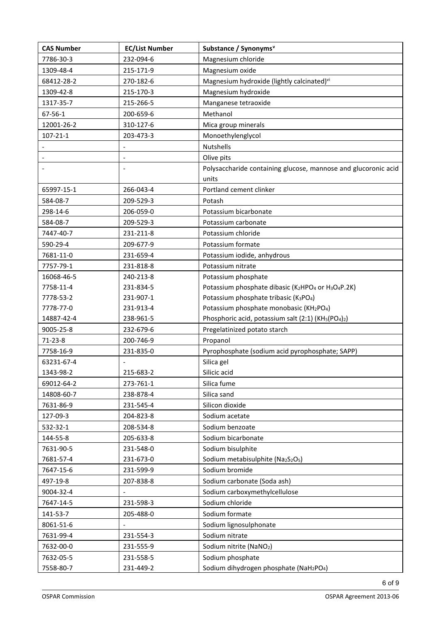| <b>CAS Number</b> | <b>EC/List Number</b> | Substance / Synonyms <sup>v</sup>                                                        |
|-------------------|-----------------------|------------------------------------------------------------------------------------------|
| 7786-30-3         | 232-094-6             | Magnesium chloride                                                                       |
| 1309-48-4         | 215-171-9             | Magnesium oxide                                                                          |
| 68412-28-2        | 270-182-6             | Magnesium hydroxide (lightly calcinated) <sup>vi</sup>                                   |
| 1309-42-8         | 215-170-3             | Magnesium hydroxide                                                                      |
| 1317-35-7         | 215-266-5             | Manganese tetraoxide                                                                     |
| 67-56-1           | 200-659-6             | Methanol                                                                                 |
| 12001-26-2        | 310-127-6             | Mica group minerals                                                                      |
| $107 - 21 - 1$    | 203-473-3             | Monoethylenglycol                                                                        |
|                   |                       | Nutshells                                                                                |
|                   |                       | Olive pits                                                                               |
|                   |                       | Polysaccharide containing glucose, mannose and glucoronic acid                           |
|                   |                       | units                                                                                    |
| 65997-15-1        | 266-043-4             | Portland cement clinker                                                                  |
| 584-08-7          | 209-529-3             | Potash                                                                                   |
| 298-14-6          | 206-059-0             | Potassium bicarbonate                                                                    |
| 584-08-7          | 209-529-3             | Potassium carbonate                                                                      |
| 7447-40-7         | 231-211-8             | Potassium chloride                                                                       |
| 590-29-4          | 209-677-9             | Potassium formate                                                                        |
| 7681-11-0         | 231-659-4             | Potassium iodide, anhydrous                                                              |
| 7757-79-1         | 231-818-8             | Potassium nitrate                                                                        |
| 16068-46-5        | 240-213-8             | Potassium phosphate                                                                      |
| 7758-11-4         | 231-834-5             | Potassium phosphate dibasic (K2HPO4 or H3O4P.2K)                                         |
| 7778-53-2         | 231-907-1             | Potassium phosphate tribasic (K3PO4)                                                     |
| 7778-77-0         | 231-913-4             | Potassium phosphate monobasic (KH2PO4)                                                   |
| 14887-42-4        | 238-961-5             | Phosphoric acid, potassium salt (2:1) (KH <sub>5</sub> (PO <sub>4</sub> ) <sub>2</sub> ) |
| 9005-25-8         | 232-679-6             | Pregelatinized potato starch                                                             |
| $71-23-8$         | 200-746-9             | Propanol                                                                                 |
| 7758-16-9         | 231-835-0             | Pyrophosphate (sodium acid pyrophosphate; SAPP)                                          |
| 63231-67-4        |                       | Silica gel                                                                               |
| 1343-98-2         | 215-683-2             | Silicic acid                                                                             |
| 69012-64-2        | 273-761-1             | Silica fume                                                                              |
| 14808-60-7        | 238-878-4             | Silica sand                                                                              |
| 7631-86-9         | 231-545-4             | Silicon dioxide                                                                          |
| 127-09-3          | 204-823-8             | Sodium acetate                                                                           |
| 532-32-1          | 208-534-8             | Sodium benzoate                                                                          |
| 144-55-8          | 205-633-8             | Sodium bicarbonate                                                                       |
| 7631-90-5         | 231-548-0             | Sodium bisulphite                                                                        |
| 7681-57-4         | 231-673-0             | Sodium metabisulphite (Na2S2O <sub>5</sub> )                                             |
| 7647-15-6         | 231-599-9             | Sodium bromide                                                                           |
| 497-19-8          | 207-838-8             | Sodium carbonate (Soda ash)                                                              |
| 9004-32-4         |                       | Sodium carboxymethylcellulose                                                            |
| 7647-14-5         | 231-598-3             | Sodium chloride                                                                          |
| 141-53-7          | 205-488-0             | Sodium formate                                                                           |
| 8061-51-6         |                       | Sodium lignosulphonate                                                                   |
| 7631-99-4         | 231-554-3             | Sodium nitrate                                                                           |
| 7632-00-0         | 231-555-9             | Sodium nitrite (NaNO <sub>2</sub> )                                                      |
| 7632-05-5         | 231-558-5             | Sodium phosphate                                                                         |
| 7558-80-7         | 231-449-2             | Sodium dihydrogen phosphate (NaH <sub>2</sub> PO <sub>4</sub> )                          |

6 of 9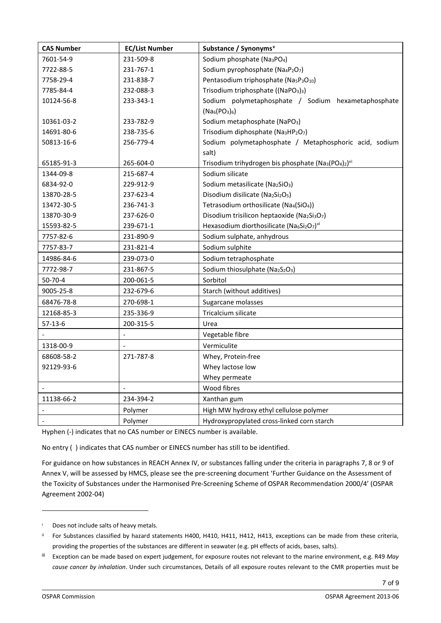| <b>CAS Number</b> | <b>EC/List Number</b>    | Substance / Synonyms <sup>v</sup>                                                                    |
|-------------------|--------------------------|------------------------------------------------------------------------------------------------------|
| 7601-54-9         | 231-509-8                | Sodium phosphate (Na <sub>3</sub> PO <sub>4</sub> )                                                  |
| 7722-88-5         | 231-767-1                | Sodium pyrophosphate (Na <sub>4</sub> P <sub>2</sub> O <sub>7</sub> )                                |
| 7758-29-4         | 231-838-7                | Pentasodium triphosphate (Na <sub>5</sub> P <sub>3</sub> O <sub>10</sub> )                           |
| 7785-84-4         | 232-088-3                | Trisodium triphosphate ((NaPO <sub>3</sub> ) <sub>3</sub> )                                          |
| 10124-56-8        | 233-343-1                | Sodium polymetaphosphate / Sodium hexametaphosphate                                                  |
|                   |                          | $(Na_6(PO_3)_6)$                                                                                     |
| 10361-03-2        | 233-782-9                | Sodium metaphosphate (NaPO <sub>3</sub> )                                                            |
| 14691-80-6        | 238-735-6                | Trisodium diphosphate (Na3HP2O7)                                                                     |
| 50813-16-6        | 256-779-4                | Sodium polymetaphosphate / Metaphosphoric acid, sodium                                               |
|                   |                          | salt)                                                                                                |
| 65185-91-3        | 265-604-0                | Trisodium trihydrogen bis phosphate (Na <sub>3</sub> (PO <sub>4</sub> ) <sub>2</sub> ) <sup>vi</sup> |
| 1344-09-8         | 215-687-4                | Sodium silicate                                                                                      |
| 6834-92-0         | 229-912-9                | Sodium metasilicate (Na2SiO3)                                                                        |
| 13870-28-5        | 237-623-4                | Disodium disilicate (Na2Si2O <sub>5</sub> )                                                          |
| 13472-30-5        | 236-741-3                | Tetrasodium orthosilicate (Na4(SiO4))                                                                |
| 13870-30-9        | 237-626-0                | Disodium trisilicon heptaoxide (Na2Si3O7)                                                            |
| 15593-82-5        | 239-671-1                | Hexasodium diorthosilicate (Na6Si2O7)vi                                                              |
| 7757-82-6         | 231-890-9                | Sodium sulphate, anhydrous                                                                           |
| 7757-83-7         | 231-821-4                | Sodium sulphite                                                                                      |
| 14986-84-6        | 239-073-0                | Sodium tetraphosphate                                                                                |
| 7772-98-7         | 231-867-5                | Sodium thiosulphate (Na2S2O3)                                                                        |
| $50 - 70 - 4$     | 200-061-5                | Sorbitol                                                                                             |
| 9005-25-8         | 232-679-6                | Starch (without additives)                                                                           |
| 68476-78-8        | 270-698-1                | Sugarcane molasses                                                                                   |
| 12168-85-3        | 235-336-9                | Tricalcium silicate                                                                                  |
| $57-13-6$         | 200-315-5                | Urea                                                                                                 |
|                   | $\overline{\phantom{a}}$ | Vegetable fibre                                                                                      |
| 1318-00-9         |                          | Vermiculite                                                                                          |
| 68608-58-2        | 271-787-8                | Whey, Protein-free                                                                                   |
| 92129-93-6        |                          | Whey lactose low                                                                                     |
|                   |                          | Whey permeate                                                                                        |
|                   |                          | Wood fibres                                                                                          |
| 11138-66-2        | 234-394-2                | Xanthan gum                                                                                          |
|                   | Polymer                  | High MW hydroxy ethyl cellulose polymer                                                              |
|                   | Polymer                  | Hydroxypropylated cross-linked corn starch                                                           |

Hyphen (-) indicates that no CAS number or EINECS number is available.

No entry ( ) indicates that CAS number or EINECS number has still to be identified.

For guidance on how substances in REACH Annex IV, or substances falling under the criteria in paragraphs 7, 8 or 9 of Annex V, will be assessed by HMCS, please see the pre-screening document 'Further Guidance on the Assessment of the Toxicity of Substances under the Harmonised Pre-Screening Scheme of OSPAR Recommendation 2000/4' (OSPAR Agreement 2002-04)

7 of 9

<span id="page-6-0"></span><sup>i</sup> Does not include salts of heavy metals.

<span id="page-6-1"></span>ii For Substances classified by hazard statements H400, H410, H411, H412, H413, exceptions can be made from these criteria, providing the properties of the substances are different in seawater (e.g. pH effects of acids, bases, salts).

<span id="page-6-2"></span>iii Exception can be made based on expert judgement, for exposure routes not relevant to the marine environment, e.g. R49 *May cause cancer by inhalation*. Under such circumstances, Details of all exposure routes relevant to the CMR properties must be